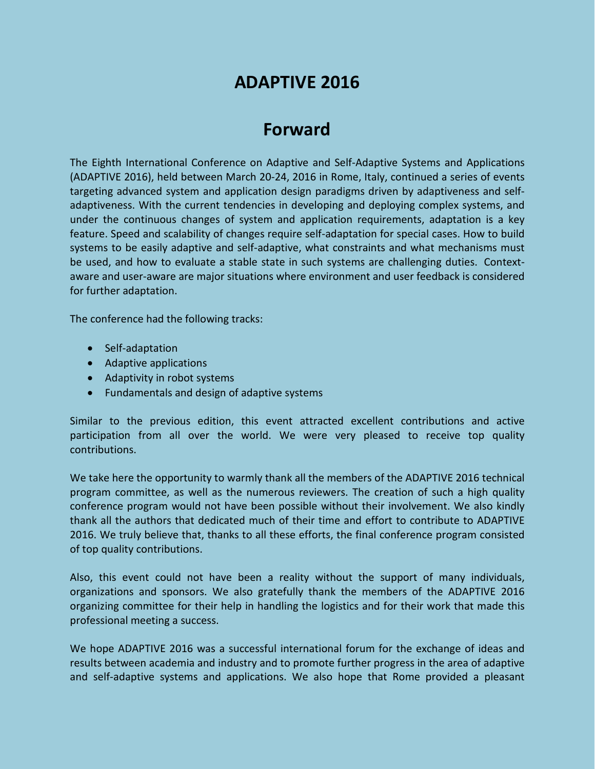# **ADAPTIVE 2016**

# **Forward**

The Eighth International Conference on Adaptive and Self-Adaptive Systems and Applications (ADAPTIVE 2016), held between March 20-24, 2016 in Rome, Italy, continued a series of events targeting advanced system and application design paradigms driven by adaptiveness and selfadaptiveness. With the current tendencies in developing and deploying complex systems, and under the continuous changes of system and application requirements, adaptation is a key feature. Speed and scalability of changes require self-adaptation for special cases. How to build systems to be easily adaptive and self-adaptive, what constraints and what mechanisms must be used, and how to evaluate a stable state in such systems are challenging duties. Contextaware and user-aware are major situations where environment and user feedback is considered for further adaptation.

The conference had the following tracks:

- Self-adaptation
- Adaptive applications
- Adaptivity in robot systems
- Fundamentals and design of adaptive systems

Similar to the previous edition, this event attracted excellent contributions and active participation from all over the world. We were very pleased to receive top quality contributions.

We take here the opportunity to warmly thank all the members of the ADAPTIVE 2016 technical program committee, as well as the numerous reviewers. The creation of such a high quality conference program would not have been possible without their involvement. We also kindly thank all the authors that dedicated much of their time and effort to contribute to ADAPTIVE 2016. We truly believe that, thanks to all these efforts, the final conference program consisted of top quality contributions.

Also, this event could not have been a reality without the support of many individuals, organizations and sponsors. We also gratefully thank the members of the ADAPTIVE 2016 organizing committee for their help in handling the logistics and for their work that made this professional meeting a success.

We hope ADAPTIVE 2016 was a successful international forum for the exchange of ideas and results between academia and industry and to promote further progress in the area of adaptive and self-adaptive systems and applications. We also hope that Rome provided a pleasant